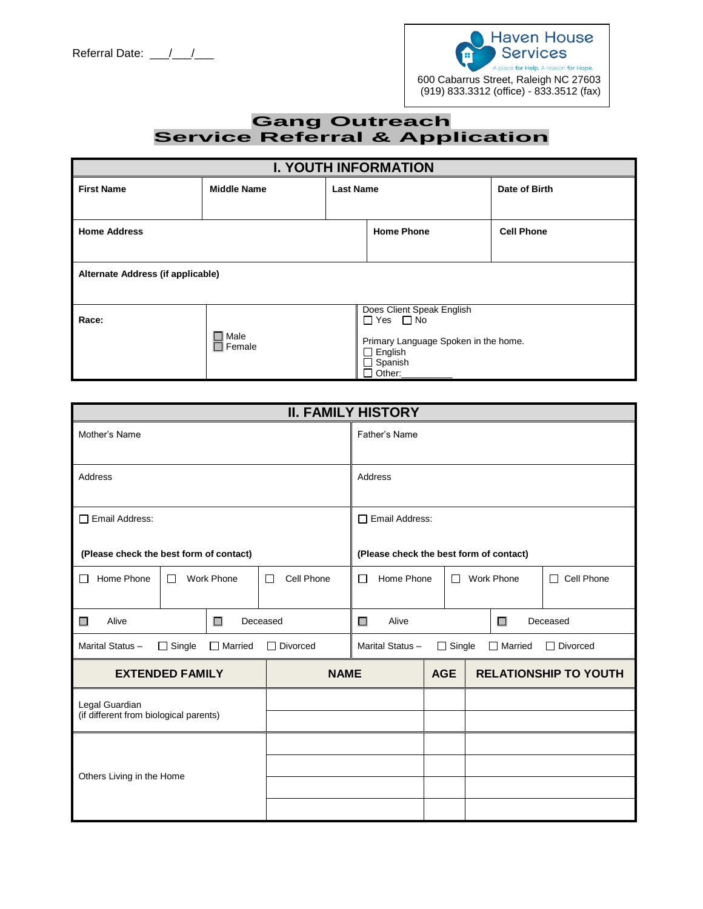

## **Gang Outreach Service Referral & Application**

| <b>I. YOUTH INFORMATION</b>       |                              |                  |                                                                                                                                         |                   |
|-----------------------------------|------------------------------|------------------|-----------------------------------------------------------------------------------------------------------------------------------------|-------------------|
| <b>First Name</b>                 | <b>Middle Name</b>           | <b>Last Name</b> |                                                                                                                                         | Date of Birth     |
| <b>Home Address</b>               |                              |                  | <b>Home Phone</b>                                                                                                                       | <b>Cell Phone</b> |
| Alternate Address (if applicable) |                              |                  |                                                                                                                                         |                   |
| Race:                             | $\Box$ Male<br>$\Box$ Female |                  | Does Client Speak English<br>$\Box$ Yes $\Box$ No<br>Primary Language Spoken in the home.<br>$\Box$ English<br>$\Box$ Spanish<br>Other: |                   |

|                                                          |                 | <b>II. FAMILY HISTORY</b>          |                       |                                                    |  |                                         |  |
|----------------------------------------------------------|-----------------|------------------------------------|-----------------------|----------------------------------------------------|--|-----------------------------------------|--|
| Mother's Name                                            |                 |                                    | Father's Name         |                                                    |  |                                         |  |
| Address                                                  |                 |                                    | Address               |                                                    |  |                                         |  |
| Email Address:<br>$\perp$                                |                 |                                    | $\Box$ Email Address: |                                                    |  |                                         |  |
| (Please check the best form of contact)                  |                 |                                    |                       |                                                    |  | (Please check the best form of contact) |  |
| Home Phone                                               | Work Phone<br>П |                                    | Cell Phone<br>П       | Home Phone<br><b>Work Phone</b><br>П<br>П          |  | $\Box$ Cell Phone                       |  |
| Alive<br>$\Box$<br>Deceased<br>П                         |                 | Alive<br>$\Box$                    |                       | П<br>Deceased                                      |  |                                         |  |
| Marital Status-<br>$\Box$ Single<br>Married              |                 | $\Box$ Divorced<br>Marital Status- |                       | $\Box$ Single<br>$\Box$ Divorced<br>$\Box$ Married |  |                                         |  |
| <b>EXTENDED FAMILY</b>                                   |                 | <b>NAME</b>                        |                       | <b>AGE</b>                                         |  | <b>RELATIONSHIP TO YOUTH</b>            |  |
| Legal Guardian<br>(if different from biological parents) |                 |                                    |                       |                                                    |  |                                         |  |
| Others Living in the Home                                |                 |                                    |                       |                                                    |  |                                         |  |
|                                                          |                 |                                    |                       |                                                    |  |                                         |  |
|                                                          |                 |                                    |                       |                                                    |  |                                         |  |
|                                                          |                 |                                    |                       |                                                    |  |                                         |  |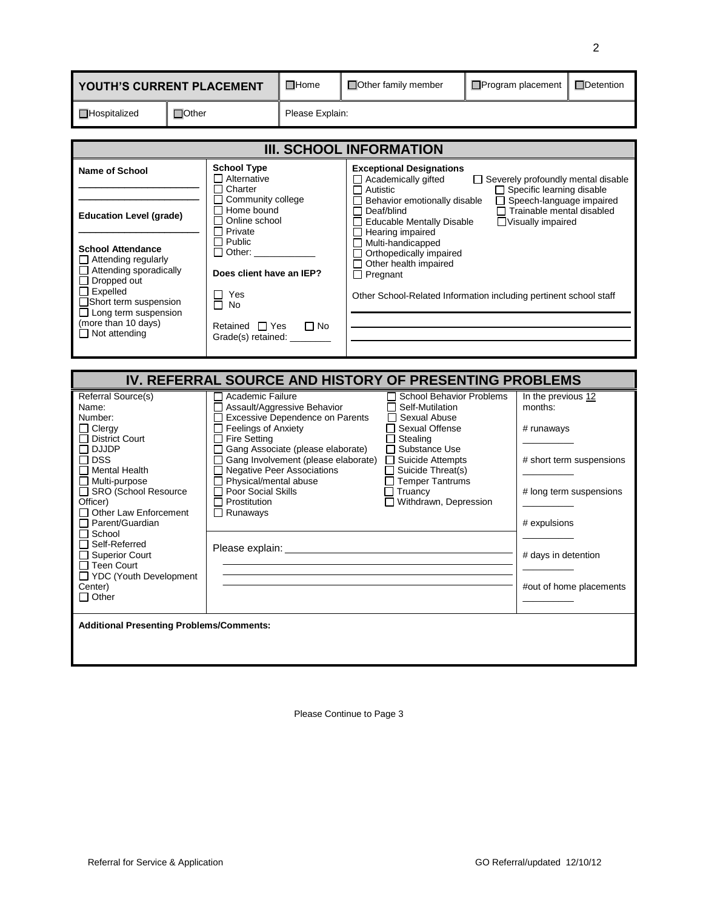| YOUTH'S CURRENT PLACEMENT                                                                                                                                                                                          |                                                                                                                                         | $\Box$ Home                                                                                                                                                  | □ Other family member                                                                                                                                                                                                                                                                                  | Program placement                                                                                                                                                                 |  | □Detention                    |  |
|--------------------------------------------------------------------------------------------------------------------------------------------------------------------------------------------------------------------|-----------------------------------------------------------------------------------------------------------------------------------------|--------------------------------------------------------------------------------------------------------------------------------------------------------------|--------------------------------------------------------------------------------------------------------------------------------------------------------------------------------------------------------------------------------------------------------------------------------------------------------|-----------------------------------------------------------------------------------------------------------------------------------------------------------------------------------|--|-------------------------------|--|
| $\Box$ Hospitalized                                                                                                                                                                                                | $\Box$ Other<br>Please Explain:                                                                                                         |                                                                                                                                                              |                                                                                                                                                                                                                                                                                                        |                                                                                                                                                                                   |  |                               |  |
| <b>III. SCHOOL INFORMATION</b>                                                                                                                                                                                     |                                                                                                                                         |                                                                                                                                                              |                                                                                                                                                                                                                                                                                                        |                                                                                                                                                                                   |  |                               |  |
| <b>Name of School</b><br><b>Education Level (grade)</b>                                                                                                                                                            | <b>School Type</b><br>$\Box$ Alternative<br>$\Box$ Charter<br>Community college<br>Home bound<br>Online school<br>П<br><b>□</b> Private |                                                                                                                                                              | <b>Exceptional Designations</b><br>Academically gifted<br>Severely profoundly mental disable<br>Specific learning disable<br>Autistic<br>Speech-language impaired<br>Behavior emotionally disable<br>$\Box$ Trainable mental disabled<br>Deaf/blind<br>Educable Mentally Disable<br>□Visually impaired |                                                                                                                                                                                   |  |                               |  |
| <b>School Attendance</b><br>Attending regularly<br>Attending sporadically<br>Dropped out<br>$\Box$ Expelled<br>Short term suspension<br>$\Box$ Long term suspension<br>(more than 10 days)<br>$\Box$ Not attending |                                                                                                                                         | $\Box$ Public<br>$\Box$ Other:<br>Does client have an IEP?<br>Yes<br>П<br>П<br><b>No</b><br>Retained $\Box$ Yes<br>$\Box$ No<br>Grade(s) retained: _________ |                                                                                                                                                                                                                                                                                                        | Hearing impaired<br>Multi-handicapped<br>Orthopedically impaired<br>Other health impaired<br>$\Box$ Pregnant<br>Other School-Related Information including pertinent school staff |  |                               |  |
| IV. REFERRAL SOURCE AND HISTORY OF PRESENTING PROBLEMS                                                                                                                                                             |                                                                                                                                         |                                                                                                                                                              |                                                                                                                                                                                                                                                                                                        |                                                                                                                                                                                   |  |                               |  |
| Referral Source(s)<br>Name:                                                                                                                                                                                        |                                                                                                                                         | Academic Failure<br>$\mathbf{I}$                                                                                                                             | Assault/Aggressive Behavior                                                                                                                                                                                                                                                                            | <b>School Behavior Problems</b><br>Self-Mutilation                                                                                                                                |  | In the previous 12<br>months: |  |

| Referral Source(s)                              | Academic Failure                          | <b>School Behavior Problems</b> | In the previous 12       |
|-------------------------------------------------|-------------------------------------------|---------------------------------|--------------------------|
| Name:                                           | □ Assault/Aggressive Behavior             | Self-Mutilation<br>$\Box$       | months:                  |
| Number:                                         | Excessive Dependence on Parents<br>$\Box$ | Sexual Abuse<br>ΙI              |                          |
| $\Box$ Clergy                                   | $\Box$ Feelings of Anxiety                | Sexual Offense                  | # runaways               |
| □ District Court                                | $\Box$ Fire Setting                       | Stealing                        |                          |
| ∩ DJJDP                                         | Gang Associate (please elaborate)         | □ Substance Use                 |                          |
| $\sqcap$ DSS                                    | Gang Involvement (please elaborate)       | $\Box$ Suicide Attempts         | # short term suspensions |
| $\Box$ Mental Health                            | □ Negative Peer Associations              | Suicide Threat(s)               |                          |
| $\Box$ Multi-purpose                            | $\Box$ Physical/mental abuse              | <b>Temper Tantrums</b>          |                          |
| □ SRO (School Resource                          | □ Poor Social Skills                      | Truancy                         | # long term suspensions  |
| Officer)                                        | $\Box$ Prostitution                       | Withdrawn, Depression           |                          |
| Other Law Enforcement                           | $\Box$ Runaways                           |                                 |                          |
| □ Parent/Guardian                               |                                           |                                 | # expulsions             |
| $\Box$ School                                   |                                           |                                 |                          |
| □ Self-Referred                                 | Please explain: _                         |                                 |                          |
| □ Superior Court                                |                                           |                                 | # days in detention      |
| □ Teen Court                                    |                                           |                                 |                          |
| □ YDC (Youth Development                        |                                           |                                 |                          |
| Center)                                         |                                           |                                 | #out of home placements  |
| $\Box$ Other                                    |                                           |                                 |                          |
|                                                 |                                           |                                 |                          |
| <b>Additional Presenting Problems/Comments:</b> |                                           |                                 |                          |
|                                                 |                                           |                                 |                          |
|                                                 |                                           |                                 |                          |
|                                                 |                                           |                                 |                          |
|                                                 |                                           |                                 |                          |

Please Continue to Page 3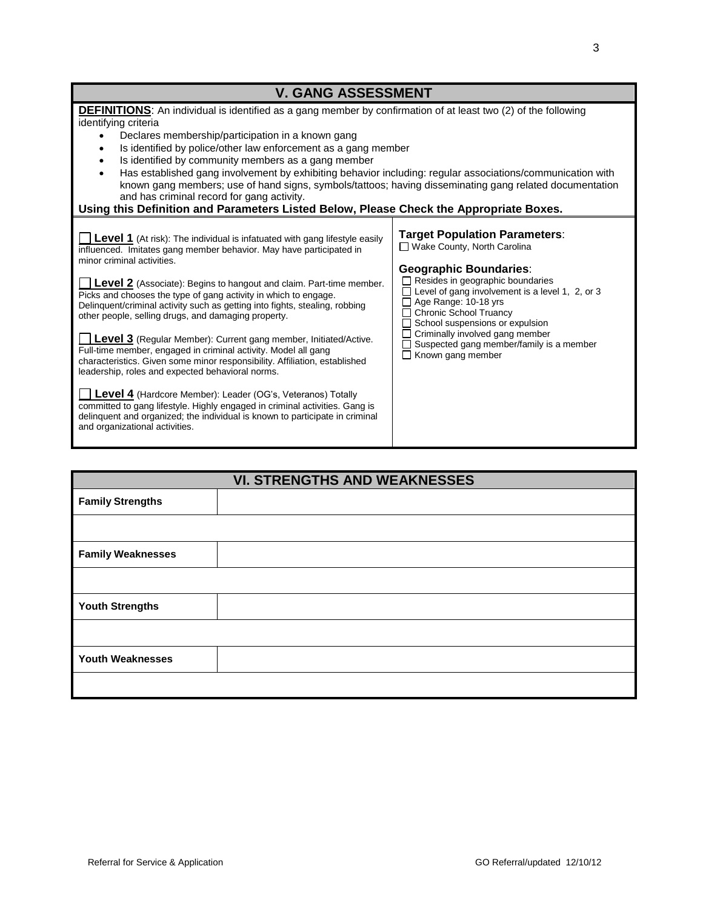| <b>V. GANG ASSESSMENT</b>                                                                                                                                                                                                                                                                                                                                                                                                                                                                                                                                                                                                                                                                                                                                                                                                                                                                                                                                                                                             |                                                                                                                                                                                                                                                                                                                                                                                               |
|-----------------------------------------------------------------------------------------------------------------------------------------------------------------------------------------------------------------------------------------------------------------------------------------------------------------------------------------------------------------------------------------------------------------------------------------------------------------------------------------------------------------------------------------------------------------------------------------------------------------------------------------------------------------------------------------------------------------------------------------------------------------------------------------------------------------------------------------------------------------------------------------------------------------------------------------------------------------------------------------------------------------------|-----------------------------------------------------------------------------------------------------------------------------------------------------------------------------------------------------------------------------------------------------------------------------------------------------------------------------------------------------------------------------------------------|
| <b>DEFINITIONS:</b> An individual is identified as a gang member by confirmation of at least two (2) of the following<br>identifying criteria<br>Declares membership/participation in a known gang<br>Is identified by police/other law enforcement as a gang member<br>$\bullet$<br>Is identified by community members as a gang member<br>$\bullet$<br>Has established gang involvement by exhibiting behavior including: regular associations/communication with<br>known gang members; use of hand signs, symbols/tattoos; having disseminating gang related documentation<br>and has criminal record for gang activity.<br>Using this Definition and Parameters Listed Below, Please Check the Appropriate Boxes.                                                                                                                                                                                                                                                                                                |                                                                                                                                                                                                                                                                                                                                                                                               |
| <b>Level 1</b> (At risk): The individual is infatuated with gang lifestyle easily<br>influenced. Imitates gang member behavior. May have participated in<br>minor criminal activities.<br><b>Level 2</b> (Associate): Begins to hangout and claim. Part-time member.<br>Picks and chooses the type of gang activity in which to engage.<br>Delinquent/criminal activity such as getting into fights, stealing, robbing<br>other people, selling drugs, and damaging property.<br>Level 3 (Regular Member): Current gang member, Initiated/Active.<br>Full-time member, engaged in criminal activity. Model all gang<br>characteristics. Given some minor responsibility. Affiliation, established<br>leadership, roles and expected behavioral norms.<br>Level 4 (Hardcore Member): Leader (OG's, Veteranos) Totally<br>committed to gang lifestyle. Highly engaged in criminal activities. Gang is<br>delinguent and organized; the individual is known to participate in criminal<br>and organizational activities. | <b>Target Population Parameters:</b><br>□ Wake County, North Carolina<br><b>Geographic Boundaries:</b><br>Resides in geographic boundaries<br>Level of gang involvement is a level 1, 2, or 3<br>Age Range: 10-18 yrs<br><b>Chronic School Truancy</b><br>School suspensions or expulsion<br>Criminally involved gang member<br>Suspected gang member/family is a member<br>Known gang member |
| <b>VI. STRENGTHS AND WEAKNESSES</b><br><b>Eamily Strongthe</b>                                                                                                                                                                                                                                                                                                                                                                                                                                                                                                                                                                                                                                                                                                                                                                                                                                                                                                                                                        |                                                                                                                                                                                                                                                                                                                                                                                               |

| <b>Family Strengths</b>  |  |
|--------------------------|--|
|                          |  |
| <b>Family Weaknesses</b> |  |
|                          |  |
| <b>Youth Strengths</b>   |  |
|                          |  |
| <b>Youth Weaknesses</b>  |  |
|                          |  |